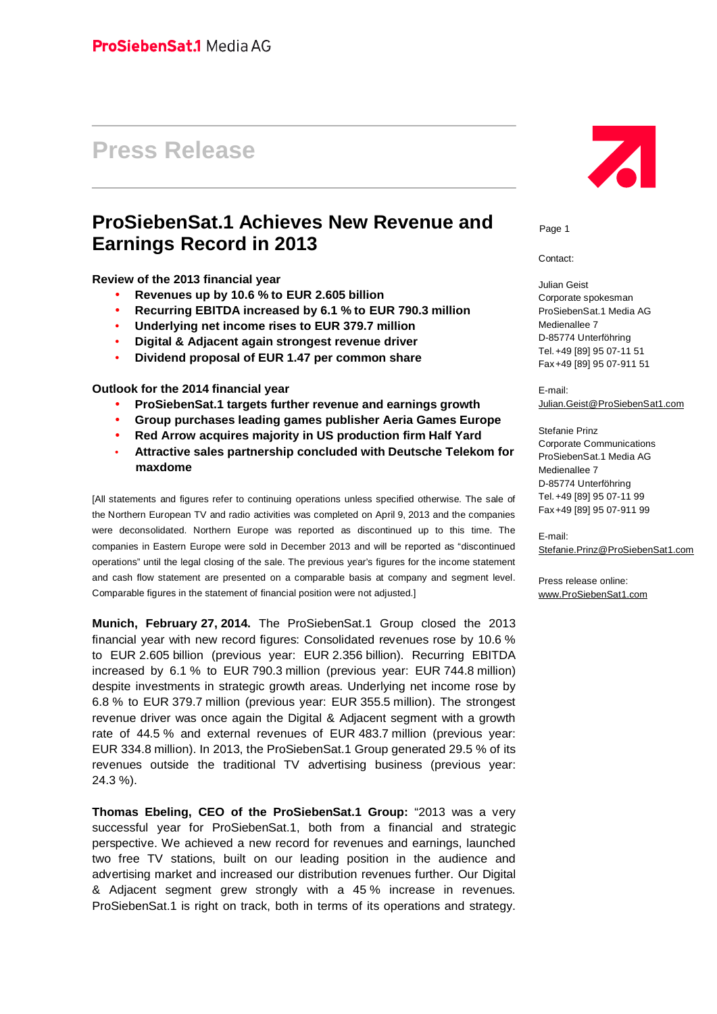# **Press Release**

# **ProSiebenSat.1 Achieves New Revenue and Earnings Record in 2013**

**Review of the 2013 financial year**

- **Revenues up by 10.6 % to EUR 2.605 billion**
- **Recurring EBITDA increased by 6.1 % to EUR 790.3 million**
- **Underlying net income rises to EUR 379.7 million**
- **Digital & Adjacent again strongest revenue driver**
- **Dividend proposal of EUR 1.47 per common share**

**Outlook for the 2014 financial year**

- **ProSiebenSat.1 targets further revenue and earnings growth**
- **Group purchases leading games publisher Aeria Games Europe**
- **Red Arrow acquires majority in US production firm Half Yard**
- **Attractive sales partnership concluded with Deutsche Telekom for maxdome**

[All statements and figures refer to continuing operations unless specified otherwise. The sale of the Northern European TV and radio activities was completed on April 9, 2013 and the companies were deconsolidated. Northern Europe was reported as discontinued up to this time. The companies in Eastern Europe were sold in December 2013 and will be reported as "discontinued operations" until the legal closing of the sale. The previous year's figures for the income statement and cash flow statement are presented on a comparable basis at company and segment level. Comparable figures in the statement of financial position were not adjusted.]

**Munich, February 27, 2014.** The ProSiebenSat.1 Group closed the 2013 financial year with new record figures: Consolidated revenues rose by 10.6 % to EUR 2.605 billion (previous year: EUR 2.356 billion). Recurring EBITDA increased by 6.1 % to EUR 790.3 million (previous year: EUR 744.8 million) despite investments in strategic growth areas. Underlying net income rose by 6.8 % to EUR 379.7 million (previous year: EUR 355.5 million). The strongest revenue driver was once again the Digital & Adjacent segment with a growth rate of 44.5 % and external revenues of EUR 483.7 million (previous year: EUR 334.8 million). In 2013, the ProSiebenSat.1 Group generated 29.5 % of its revenues outside the traditional TV advertising business (previous year: 24.3 %).

**Thomas Ebeling, CEO of the ProSiebenSat.1 Group:** "2013 was a very successful year for ProSiebenSat.1, both from a financial and strategic perspective. We achieved a new record for revenues and earnings, launched two free TV stations, built on our leading position in the audience and advertising market and increased our distribution revenues further. Our Digital & Adjacent segment grew strongly with a 45 % increase in revenues. ProSiebenSat.1 is right on track, both in terms of its operations and strategy.



Page 1

Contact:

Julian Geist Corporate spokesman ProSiebenSat.1 Media AG Medienallee 7 D-85774 Unterföhring Tel.+49 [89] 95 07-11 51 Fax+49 [89] 95 07-911 51

E-mail: Julian.Geist@ProSiebenSat1.com

Stefanie Prinz Corporate Communications ProSiebenSat.1 Media AG Medienallee 7 D-85774 Unterföhring Tel.+49 [89] 95 07-11 99 Fax+49 [89] 95 07-911 99

E-mail: Stefanie.Prinz@ProSiebenSat1.com

Press release online: [www.ProSiebenSat1.com](http://www.ProSiebenSat1.com)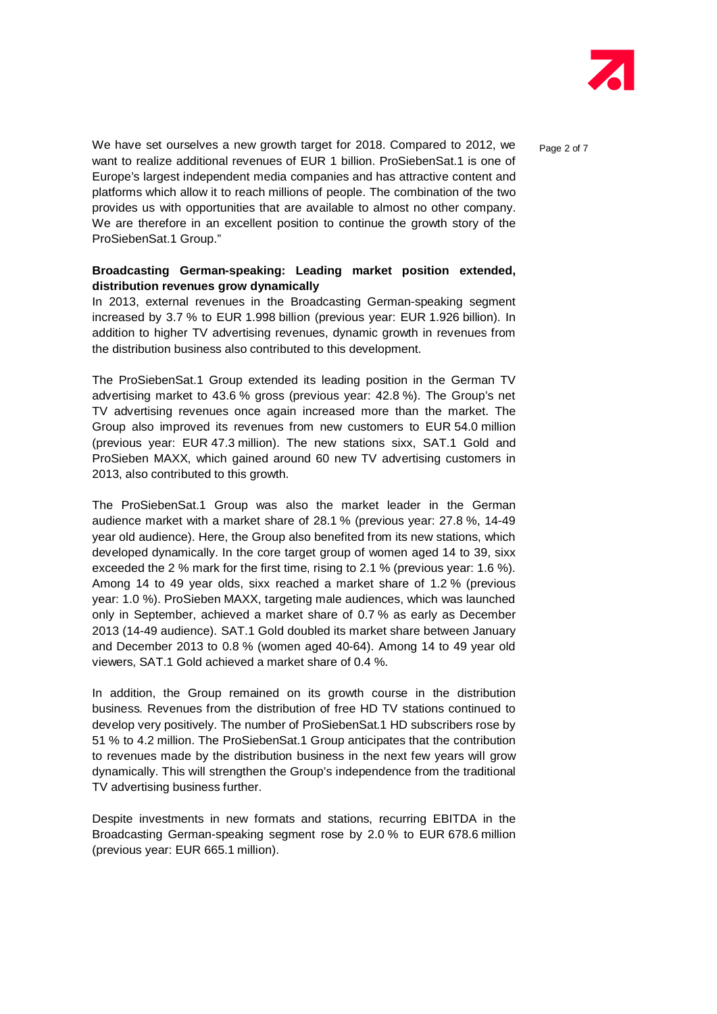

We have set ourselves a new growth target for 2018. Compared to 2012, we  $P_{\text{Page 2 of 7}}$ want to realize additional revenues of EUR 1 billion. ProSiebenSat.1 is one of Europe's largest independent media companies and has attractive content and platforms which allow it to reach millions of people. The combination of the two provides us with opportunities that are available to almost no other company. We are therefore in an excellent position to continue the growth story of the ProSiebenSat.1 Group."

#### **Broadcasting German-speaking: Leading market position extended, distribution revenues grow dynamically**

In 2013, external revenues in the Broadcasting German-speaking segment increased by 3.7 % to EUR 1.998 billion (previous year: EUR 1.926 billion). In addition to higher TV advertising revenues, dynamic growth in revenues from the distribution business also contributed to this development.

The ProSiebenSat.1 Group extended its leading position in the German TV advertising market to 43.6 % gross (previous year: 42.8 %). The Group's net TV advertising revenues once again increased more than the market. The Group also improved its revenues from new customers to EUR 54.0 million (previous year: EUR 47.3 million). The new stations sixx, SAT.1 Gold and ProSieben MAXX, which gained around 60 new TV advertising customers in 2013, also contributed to this growth.

The ProSiebenSat.1 Group was also the market leader in the German audience market with a market share of 28.1 % (previous year: 27.8 %, 14-49 year old audience). Here, the Group also benefited from its new stations, which developed dynamically. In the core target group of women aged 14 to 39, sixx exceeded the 2 % mark for the first time, rising to 2.1 % (previous year: 1.6 %). Among 14 to 49 year olds, sixx reached a market share of 1.2 % (previous year: 1.0 %). ProSieben MAXX, targeting male audiences, which was launched only in September, achieved a market share of 0.7 % as early as December 2013 (14-49 audience). SAT.1 Gold doubled its market share between January and December 2013 to 0.8 % (women aged 40-64). Among 14 to 49 year old viewers, SAT.1 Gold achieved a market share of 0.4 %.

In addition, the Group remained on its growth course in the distribution business. Revenues from the distribution of free HD TV stations continued to develop very positively. The number of ProSiebenSat.1 HD subscribers rose by 51 % to 4.2 million. The ProSiebenSat.1 Group anticipates that the contribution to revenues made by the distribution business in the next few years will grow dynamically. This will strengthen the Group's independence from the traditional TV advertising business further.

Despite investments in new formats and stations, recurring EBITDA in the Broadcasting German-speaking segment rose by 2.0 % to EUR 678.6 million (previous year: EUR 665.1 million).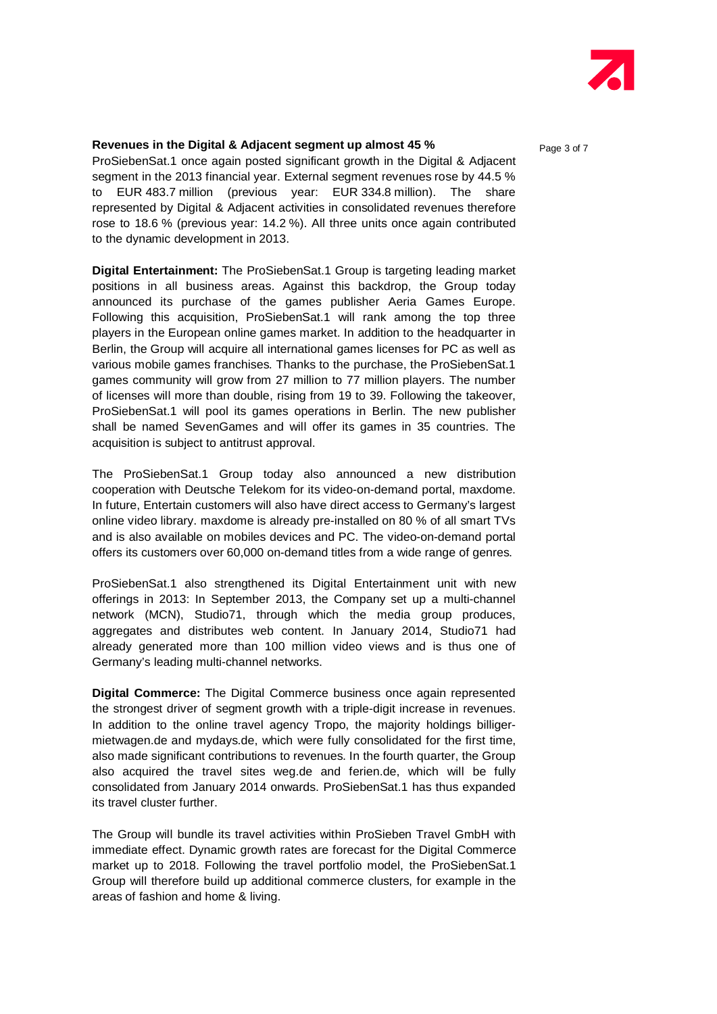

#### **Revenues in the Digital & Adjacent segment up almost 45 % Page 3 of 7**

ProSiebenSat.1 once again posted significant growth in the Digital & Adjacent segment in the 2013 financial year. External segment revenues rose by 44.5 % to EUR 483.7 million (previous year: EUR 334.8 million). The share represented by Digital & Adjacent activities in consolidated revenues therefore rose to 18.6 % (previous year: 14.2 %). All three units once again contributed to the dynamic development in 2013.

**Digital Entertainment:** The ProSiebenSat.1 Group is targeting leading market positions in all business areas. Against this backdrop, the Group today announced its purchase of the games publisher Aeria Games Europe. Following this acquisition, ProSiebenSat.1 will rank among the top three players in the European online games market. In addition to the headquarter in Berlin, the Group will acquire all international games licenses for PC as well as various mobile games franchises. Thanks to the purchase, the ProSiebenSat.1 games community will grow from 27 million to 77 million players. The number of licenses will more than double, rising from 19 to 39. Following the takeover, ProSiebenSat.1 will pool its games operations in Berlin. The new publisher shall be named SevenGames and will offer its games in 35 countries. The acquisition is subject to antitrust approval.

The ProSiebenSat.1 Group today also announced a new distribution cooperation with Deutsche Telekom for its video-on-demand portal, maxdome. In future, Entertain customers will also have direct access to Germany's largest online video library. maxdome is already pre-installed on 80 % of all smart TVs and is also available on mobiles devices and PC. The video-on-demand portal offers its customers over 60,000 on-demand titles from a wide range of genres.

ProSiebenSat.1 also strengthened its Digital Entertainment unit with new offerings in 2013: In September 2013, the Company set up a multi-channel network (MCN), Studio71, through which the media group produces, aggregates and distributes web content. In January 2014, Studio71 had already generated more than 100 million video views and is thus one of Germany's leading multi-channel networks.

**Digital Commerce:** The Digital Commerce business once again represented the strongest driver of segment growth with a triple-digit increase in revenues. In addition to the online travel agency Tropo, the majority holdings billiger mietwagen.de and mydays.de, which were fully consolidated for the first time, also made significant contributions to revenues. In the fourth quarter, the Group also acquired the travel sites weg.de and ferien.de, which will be fully consolidated from January 2014 onwards. ProSiebenSat.1 has thus expanded its travel cluster further.

The Group will bundle its travel activities within ProSieben Travel GmbH with immediate effect. Dynamic growth rates are forecast for the Digital Commerce market up to 2018. Following the travel portfolio model, the ProSiebenSat.1 Group will therefore build up additional commerce clusters, for example in the areas of fashion and home & living.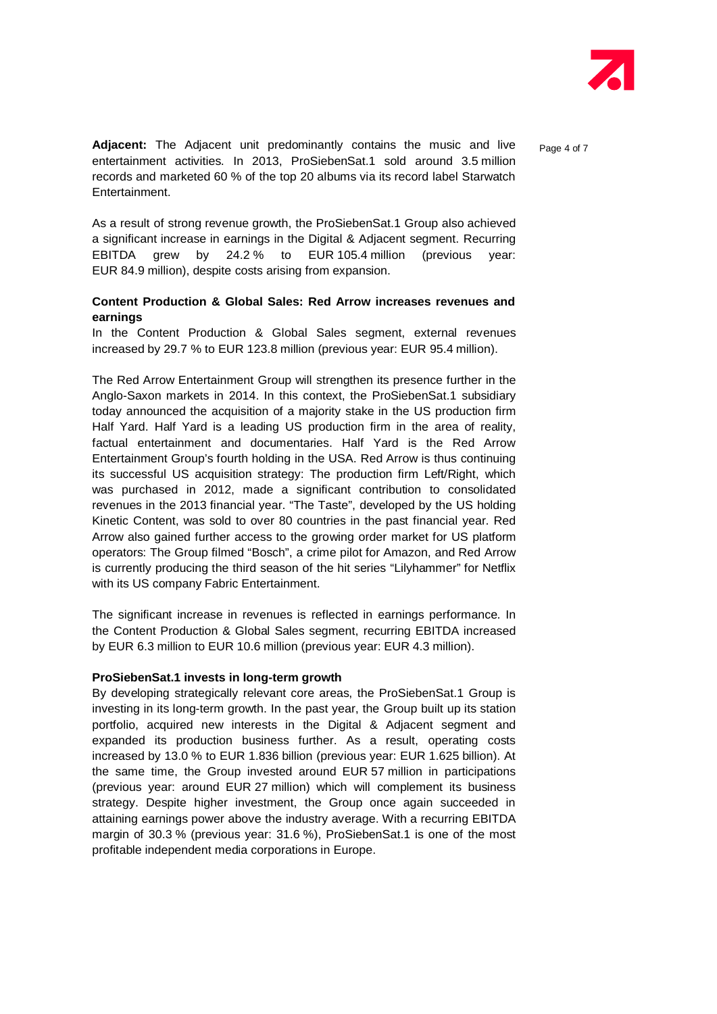

**Adjacent:** The Adjacent unit predominantly contains the music and live Page 4 of 7 entertainment activities. In 2013, ProSiebenSat.1 sold around 3.5 million records and marketed 60 % of the top 20 albums via its record label Starwatch Entertainment.

As a result of strong revenue growth, the ProSiebenSat.1 Group also achieved a significant increase in earnings in the Digital & Adjacent segment. Recurring EBITDA grew by 24.2 % to EUR 105.4 million (previous year: EUR 84.9 million), despite costs arising from expansion.

### **Content Production & Global Sales: Red Arrow increases revenues and earnings**

In the Content Production & Global Sales segment, external revenues increased by 29.7 % to EUR 123.8 million (previous year: EUR 95.4 million).

The Red Arrow Entertainment Group will strengthen its presence further in the Anglo-Saxon markets in 2014. In this context, the ProSiebenSat.1 subsidiary today announced the acquisition of a majority stake in the US production firm Half Yard. Half Yard is a leading US production firm in the area of reality, factual entertainment and documentaries. Half Yard is the Red Arrow Entertainment Group's fourth holding in the USA. Red Arrow is thus continuing its successful US acquisition strategy: The production firm Left/Right, which was purchased in 2012, made a significant contribution to consolidated revenues in the 2013 financial year. "The Taste", developed by the US holding Kinetic Content, was sold to over 80 countries in the past financial year. Red Arrow also gained further access to the growing order market for US platform operators: The Group filmed "Bosch", a crime pilot for Amazon, and Red Arrow is currently producing the third season of the hit series "Lilyhammer" for Netflix with its US company Fabric Entertainment.

The significant increase in revenues is reflected in earnings performance. In the Content Production & Global Sales segment, recurring EBITDA increased by EUR 6.3 million to EUR 10.6 million (previous year: EUR 4.3 million).

#### **ProSiebenSat.1 invests in long-term growth**

By developing strategically relevant core areas, the ProSiebenSat.1 Group is investing in its long-term growth. In the past year, the Group built up its station portfolio, acquired new interests in the Digital & Adjacent segment and expanded its production business further. As a result, operating costs increased by 13.0 % to EUR 1.836 billion (previous year: EUR 1.625 billion). At the same time, the Group invested around EUR 57 million in participations (previous year: around EUR 27 million) which will complement its business strategy. Despite higher investment, the Group once again succeeded in attaining earnings power above the industry average. With a recurring EBITDA margin of 30.3 % (previous year: 31.6 %), ProSiebenSat.1 is one of the most profitable independent media corporations in Europe.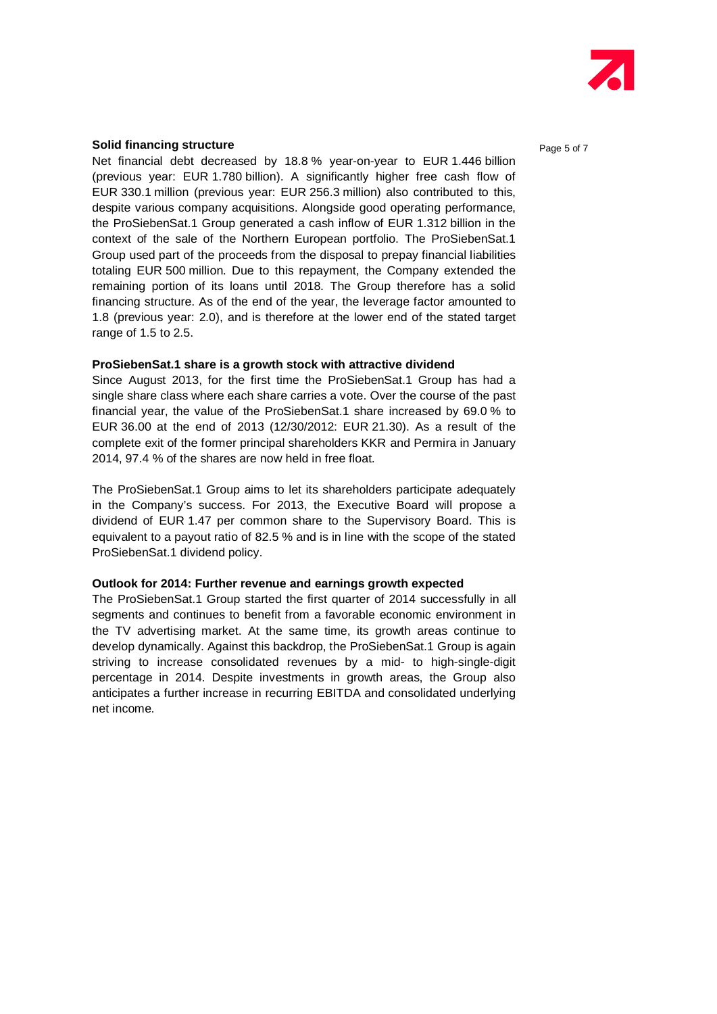

#### **Solid financing structure Page 5 of 7 Page 5 of 7**

Net financial debt decreased by 18.8 % year-on-year to EUR 1.446 billion (previous year: EUR 1.780 billion). A significantly higher free cash flow of EUR 330.1 million (previous year: EUR 256.3 million) also contributed to this, despite various company acquisitions. Alongside good operating performance, the ProSiebenSat.1 Group generated a cash inflow of EUR 1.312 billion in the context of the sale of the Northern European portfolio. The ProSiebenSat.1 Group used part of the proceeds from the disposal to prepay financial liabilities totaling EUR 500 million. Due to this repayment, the Company extended the remaining portion of its loans until 2018. The Group therefore has a solid financing structure. As of the end of the year, the leverage factor amounted to 1.8 (previous year: 2.0), and is therefore at the lower end of the stated target range of 1.5 to 2.5.

#### **ProSiebenSat.1 share is a growth stock with attractive dividend**

Since August 2013, for the first time the ProSiebenSat.1 Group has had a single share class where each share carries a vote. Over the course of the past financial year, the value of the ProSiebenSat.1 share increased by 69.0 % to EUR 36.00 at the end of 2013 (12/30/2012: EUR 21.30). As a result of the complete exit of the former principal shareholders KKR and Permira in January 2014, 97.4 % of the shares are now held in free float.

The ProSiebenSat.1 Group aims to let its shareholders participate adequately in the Company's success. For 2013, the Executive Board will propose a dividend of EUR 1.47 per common share to the Supervisory Board. This is equivalent to a payout ratio of 82.5 % and is in line with the scope of the stated ProSiebenSat.1 dividend policy.

#### **Outlook for 2014: Further revenue and earnings growth expected**

The ProSiebenSat.1 Group started the first quarter of 2014 successfully in all segments and continues to benefit from a favorable economic environment in the TV advertising market. At the same time, its growth areas continue to develop dynamically. Against this backdrop, the ProSiebenSat.1 Group is again striving to increase consolidated revenues by a mid- to high-single-digit percentage in 2014. Despite investments in growth areas, the Group also anticipates a further increase in recurring EBITDA and consolidated underlying net income.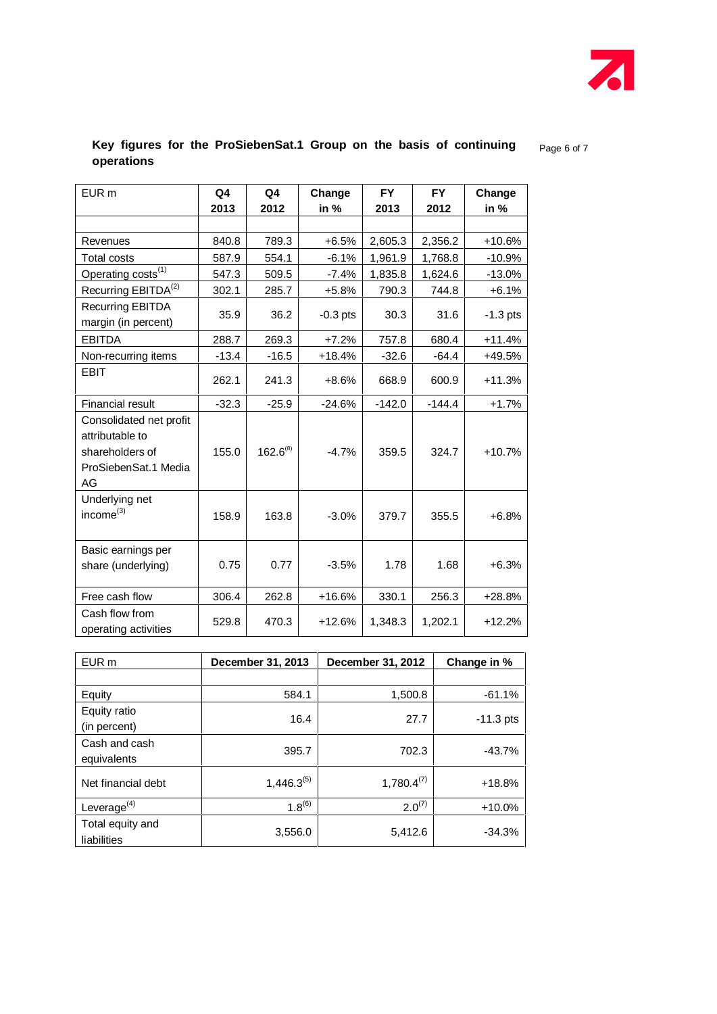

# **Key figures for the ProSiebenSat.1 Group on the basis of continuing** Page 6 of 7 **operations**

| EUR <sub>m</sub>                                                                            | Q4      | Q4            | Change     | <b>FY</b> | <b>FY</b> | Change     |
|---------------------------------------------------------------------------------------------|---------|---------------|------------|-----------|-----------|------------|
|                                                                                             | 2013    | 2012          | in $%$     | 2013      | 2012      | in $%$     |
|                                                                                             |         |               |            |           |           |            |
| Revenues                                                                                    | 840.8   | 789.3         | $+6.5%$    | 2,605.3   | 2,356.2   | $+10.6%$   |
| <b>Total costs</b>                                                                          | 587.9   | 554.1         | $-6.1%$    | 1,961.9   | 1,768.8   | $-10.9\%$  |
| Operating costs <sup>(1)</sup>                                                              | 547.3   | 509.5         | $-7.4%$    | 1,835.8   | 1,624.6   | $-13.0\%$  |
| Recurring EBITDA <sup>(2)</sup>                                                             | 302.1   | 285.7         | $+5.8%$    | 790.3     | 744.8     | $+6.1%$    |
| <b>Recurring EBITDA</b><br>margin (in percent)                                              | 35.9    | 36.2          | $-0.3$ pts | 30.3      | 31.6      | $-1.3$ pts |
| <b>EBITDA</b>                                                                               | 288.7   | 269.3         | $+7.2%$    | 757.8     | 680.4     | $+11.4%$   |
| Non-recurring items                                                                         | $-13.4$ | $-16.5$       | $+18.4%$   | $-32.6$   | $-64.4$   | $+49.5%$   |
| EBIT                                                                                        | 262.1   | 241.3         | $+8.6%$    | 668.9     | 600.9     | $+11.3%$   |
| Financial result                                                                            | $-32.3$ | $-25.9$       | $-24.6%$   | $-142.0$  | $-144.4$  | $+1.7%$    |
| Consolidated net profit<br>attributable to<br>shareholders of<br>ProSiebenSat.1 Media<br>AG | 155.0   | $162.6^{(8)}$ | $-4.7%$    | 359.5     | 324.7     | $+10.7%$   |
| Underlying net<br>income $^{(3)}$                                                           | 158.9   | 163.8         | $-3.0%$    | 379.7     | 355.5     | $+6.8%$    |
| Basic earnings per<br>share (underlying)                                                    | 0.75    | 0.77          | $-3.5%$    | 1.78      | 1.68      | $+6.3%$    |
| Free cash flow                                                                              | 306.4   | 262.8         | $+16.6%$   | 330.1     | 256.3     | $+28.8%$   |
| Cash flow from<br>operating activities                                                      | 529.8   | 470.3         | $+12.6%$   | 1,348.3   | 1,202.1   | $+12.2%$   |

| EUR <sub>m</sub>                | December 31, 2013 | December 31, 2012 | Change in % |  |
|---------------------------------|-------------------|-------------------|-------------|--|
|                                 |                   |                   |             |  |
| Equity                          | 584.1             | 1,500.8           | $-61.1%$    |  |
| Equity ratio<br>(in percent)    | 16.4              | 27.7              | $-11.3$ pts |  |
| Cash and cash<br>equivalents    | 395.7             | 702.3             | $-43.7\%$   |  |
| Net financial debt              | $1,446.3^{(5)}$   | $1,780.4^{(7)}$   | $+18.8%$    |  |
| Leverage $(4)$                  | $1.8^{(6)}$       | $2.0^{(7)}$       | $+10.0\%$   |  |
| Total equity and<br>liabilities | 3,556.0           | 5,412.6           | $-34.3%$    |  |